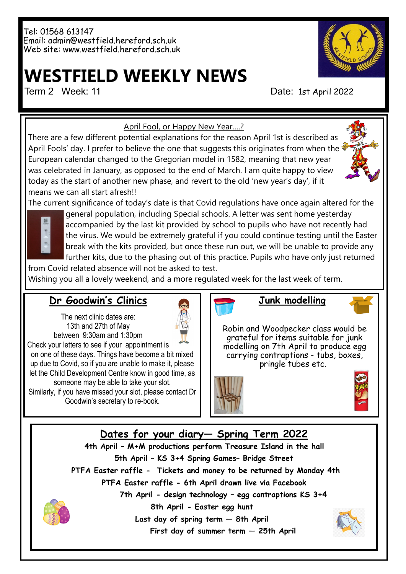## **WESTFIELD WEEKLY NEWS**

Term 2 Week: 11 Date: 1st April 2022



April Fool, or Happy New Year….?

There are a few different potential explanations for the reason April 1st is described as April Fools' day. I prefer to believe the one that suggests this originates from when the European calendar changed to the Gregorian model in 1582, meaning that new year was celebrated in January, as opposed to the end of March. I am quite happy to view today as the start of another new phase, and revert to the old 'new year's day', if it means we can all start afresh!!





general population, including Special schools. A letter was sent home yesterday accompanied by the last kit provided by school to pupils who have not recently had the virus. We would be extremely grateful if you could continue testing until the Easter break with the kits provided, but once these run out, we will be unable to provide any further kits, due to the phasing out of this practice. Pupils who have only just returned

from Covid related absence will not be asked to test. Wishing you all a lovely weekend, and a more regulated week for the last week of term.

#### **Dr Goodwin's Clinics**

The next clinic dates are: 13th and 27th of May between 9:30am and 1:30pm

on one of these days. Things have become a bit mixed up due to Covid, so if you are unable to make it, please let the Child Development Centre know in good time, as someone may be able to take your slot. Similarly, if you have missed your slot, please contact Dr Goodwin's secretary to re-book.



**Junk modelling**

Robin and Woodpecker class would be grateful for items suitable for junk modelling on 7th April to produce egg carrying contraptions - tubs, boxes, pringle tubes etc.





#### **Dates for your diary— Spring Term 2022**

**4th April – M+M productions perform Treasure Island in the hall 5th April – KS 3+4 Spring Games– Bridge Street PTFA Easter raffle - Tickets and money to be returned by Monday 4th PTFA Easter raffle - 6th April drawn live via Facebook 7th April - design technology – egg contraptions KS 3+4**



**8th April - Easter egg hunt Last day of spring term — 8th April First day of summer term — 25th April**

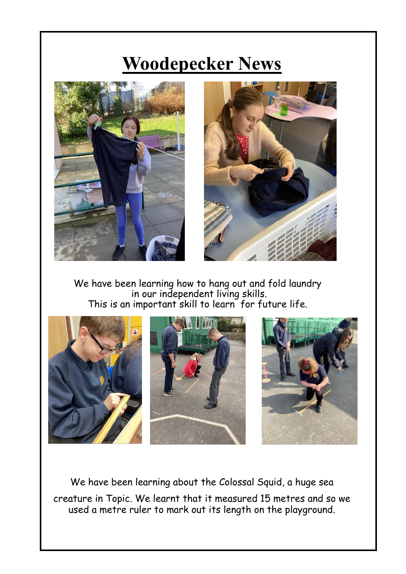### **Woodepecker News**





We have been learning how to hang out and fold laundry in our independent living skills. This is an important skill to learn for future life.



We have been learning about the Colossal Squid, a huge sea creature in Topic. We learnt that it measured 15 metres and so we used a metre ruler to mark out its length on the playground.